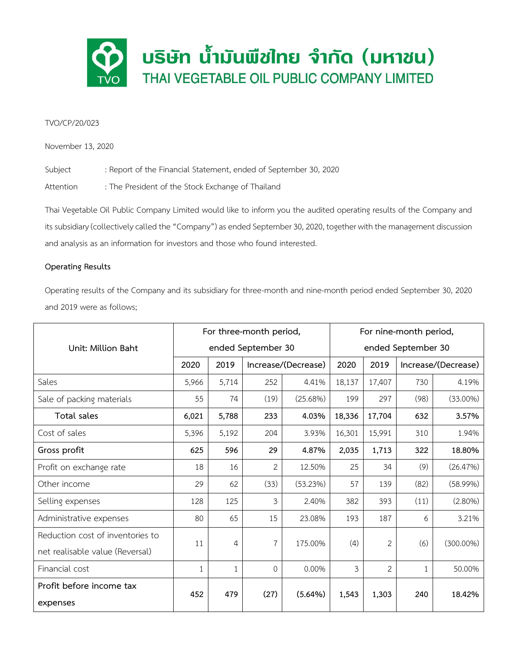

## TVO/CP/20/023

November 13, 2020

Subject : Report of the Financial Statement, ended of September 30, 2020

Attention : The President of the Stock Exchange of Thailand

Thai Vegetable Oil Public Company Limited would like to inform you the audited operating results of the Company and its subsidiary (collectively called the "Company") as ended September 30, 2020, together with the management discussion and analysis as an information for investors and those who found interested.

# **Operating Results**

Operating results of the Company and its subsidiary for three-month and nine-month period ended September 30, 2020 and 2019 were as follows;

|                                  | For three-month period, |       |                     |          | For nine-month period, |                |                     |              |
|----------------------------------|-------------------------|-------|---------------------|----------|------------------------|----------------|---------------------|--------------|
| Unit: Million Baht               | ended September 30      |       |                     |          | ended September 30     |                |                     |              |
|                                  | 2020                    | 2019  | Increase/(Decrease) |          | 2020                   | 2019           | Increase/(Decrease) |              |
| Sales                            | 5,966                   | 5,714 | 252                 | 4.41%    | 18,137                 | 17,407         | 730                 | 4.19%        |
| Sale of packing materials        | 55                      | 74    | (19)                | (25.68%) | 199                    | 297            | (98)                | $(33.00\%)$  |
| Total sales                      | 6,021                   | 5,788 | 233                 | 4.03%    | 18,336                 | 17,704         | 632                 | 3.57%        |
| Cost of sales                    | 5,396                   | 5,192 | 204                 | 3.93%    | 16,301                 | 15,991         | 310                 | 1.94%        |
| Gross profit                     | 625                     | 596   | 29                  | 4.87%    | 2,035                  | 1,713          | 322                 | 18.80%       |
| Profit on exchange rate          | 18                      | 16    | 2                   | 12.50%   | 25                     | 34             | (9)                 | (26.47%)     |
| Other income                     | 29                      | 62    | (33)                | (53.23%) | 57                     | 139            | (82)                | (58.99%)     |
| Selling expenses                 | 128                     | 125   | 3                   | 2.40%    | 382                    | 393            | (11)                | $(2.80\%)$   |
| Administrative expenses          | 80                      | 65    | 15                  | 23.08%   | 193                    | 187            | 6                   | 3.21%        |
| Reduction cost of inventories to | 11                      | 4     | 7                   | 175.00%  | (4)                    | 2              | (6)                 | $(300.00\%)$ |
| net realisable value (Reversal)  |                         |       |                     |          |                        |                |                     |              |
| Financial cost                   | 1                       | 1     | $\overline{0}$      | 0.00%    | 3                      | $\overline{2}$ | 1                   | 50.00%       |
| Profit before income tax         | 452                     | 479   | (27)                | (5.64%)  | 1,543                  | 1,303          | 240                 | 18.42%       |
| expenses                         |                         |       |                     |          |                        |                |                     |              |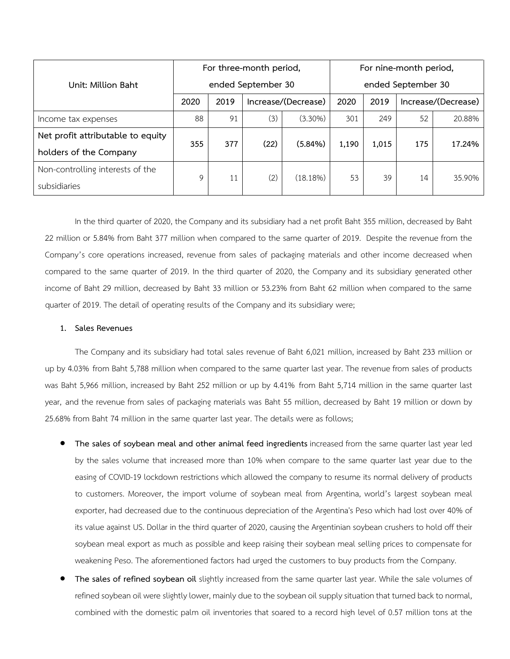|                                   | For three-month period, |      |      |                     | For nine-month period, |       |                     |        |
|-----------------------------------|-------------------------|------|------|---------------------|------------------------|-------|---------------------|--------|
| Unit: Million Baht                | ended September 30      |      |      |                     | ended September 30     |       |                     |        |
|                                   | 2020                    | 2019 |      | Increase/(Decrease) | 2020                   | 2019  | Increase/(Decrease) |        |
| Income tax expenses               | 88                      | 91   | (3)  | $(3.30\%)$          | 301                    | 249   | 52                  | 20.88% |
| Net profit attributable to equity | 355                     | 377  | (22) | (5.84%)             | 1,190                  | 1,015 | 175                 | 17.24% |
| holders of the Company            |                         |      |      |                     |                        |       |                     |        |
| Non-controlling interests of the  | 9                       | 11   | (2)  | (18.18%)            | 53                     | 39    | 14                  | 35.90% |
| subsidiaries                      |                         |      |      |                     |                        |       |                     |        |

In the third quarter of 2020, the Company and its subsidiary had a net profit Baht 355 million, decreased by Baht 22 million or 5.84% from Baht 377 million when compared to the same quarter of 2019. Despite the revenue from the Company's core operations increased, revenue from sales of packaging materials and other income decreased when compared to the same quarter of 2019. In the third quarter of 2020, the Company and its subsidiary generated other income of Baht 29 million, decreased by Baht 33 million or 53.23% from Baht 62 million when compared to the same quarter of 2019. The detail of operating results of the Company and its subsidiary were;

### **1. Sales Revenues**

The Company and its subsidiary had total sales revenue of Baht 6,021 million, increased by Baht 233 million or up by 4.03% from Baht 5,788 million when compared to the same quarter last year. The revenue from sales of products was Baht 5,966 million, increased by Baht 252 million or up by 4.41% from Baht 5,714 million in the same quarter last year, and the revenue from sales of packaging materials was Baht 55 million, decreased by Baht 19 million or down by 25.68% from Baht 74 million in the same quarter last year. The details were as follows;

- **The sales of soybean meal and other animal feed ingredients** increased from the same quarter last year led by the sales volume that increased more than 10% when compare to the same quarter last year due to the easing of COVID-19 lockdown restrictions which allowed the company to resume its normal delivery of products to customers. Moreover, the import volume of soybean meal from Argentina, world's largest soybean meal exporter, had decreased due to the continuous depreciation of the Argentina's Peso which had lost over 40% of its value against US. Dollar in the third quarter of 2020, causing the Argentinian soybean crushers to hold off their soybean meal export as much as possible and keep raising their soybean meal selling prices to compensate for weakening Peso. The aforementioned factors had urged the customers to buy products from the Company.
- **The sales of refined soybean oil** slightly increased from the same quarter last year. While the sale volumes of refined soybean oil were slightly lower, mainly due to the soybean oil supply situation that turned back to normal, combined with the domestic palm oil inventories that soared to a record high level of 0.57 million tons at the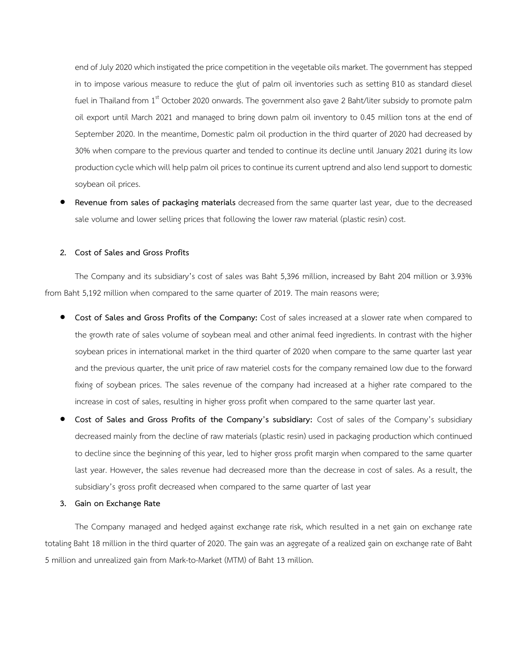end of July 2020 which instigated the price competition in the vegetable oils market. The government has stepped in to impose various measure to reduce the glut of palm oil inventories such as setting B10 as standard diesel fuel in Thailand from 1<sup>st</sup> October 2020 onwards. The government also gave 2 Baht/liter subsidy to promote palm oil export until March 2021 and managed to bring down palm oil inventory to 0.45 million tons at the end of September 2020. In the meantime, Domestic palm oil production in the third quarter of 2020 had decreased by 30% when compare to the previous quarter and tended to continue its decline until January 2021 during its low production cycle which will help palm oil prices to continue its current uptrend and also lend support to domestic soybean oil prices.

 **Revenue from sales of packaging materials** decreased from the same quarter last year, due to the decreased sale volume and lower selling prices that following the lower raw material (plastic resin) cost.

#### **2. Cost of Sales and Gross Profits**

The Company and its subsidiary's cost of sales was Baht 5,396 million, increased by Baht 204 million or 3.93% from Baht 5,192 million when compared to the same quarter of 2019. The main reasons were;

- **Cost of Sales and Gross Profits of the Company:** Cost of sales increased at a slower rate when compared to the growth rate of sales volume of soybean meal and other animal feed ingredients. In contrast with the higher soybean prices in international market in the third quarter of 2020 when compare to the same quarter last year and the previous quarter, the unit price of raw materiel costs for the company remained low due to the forward fixing of soybean prices. The sales revenue of the company had increased at a higher rate compared to the increase in cost of sales, resulting in higher gross profit when compared to the same quarter last year.
- **Cost of Sales and Gross Profits of the Company's subsidiary:** Cost of sales of the Company's subsidiary decreased mainly from the decline of raw materials (plastic resin) used in packaging production which continued to decline since the beginning of this year, led to higher gross profit margin when compared to the same quarter last year. However, the sales revenue had decreased more than the decrease in cost of sales. As a result, the subsidiary's gross profit decreased when compared to the same quarter of last year
- **3. Gain on Exchange Rate**

The Company managed and hedged against exchange rate risk, which resulted in a net gain on exchange rate totaling Baht 18 million in the third quarter of 2020. The gain was an aggregate of a realized gain on exchange rate of Baht 5 million and unrealized gain from Mark-to-Market (MTM) of Baht 13 million.